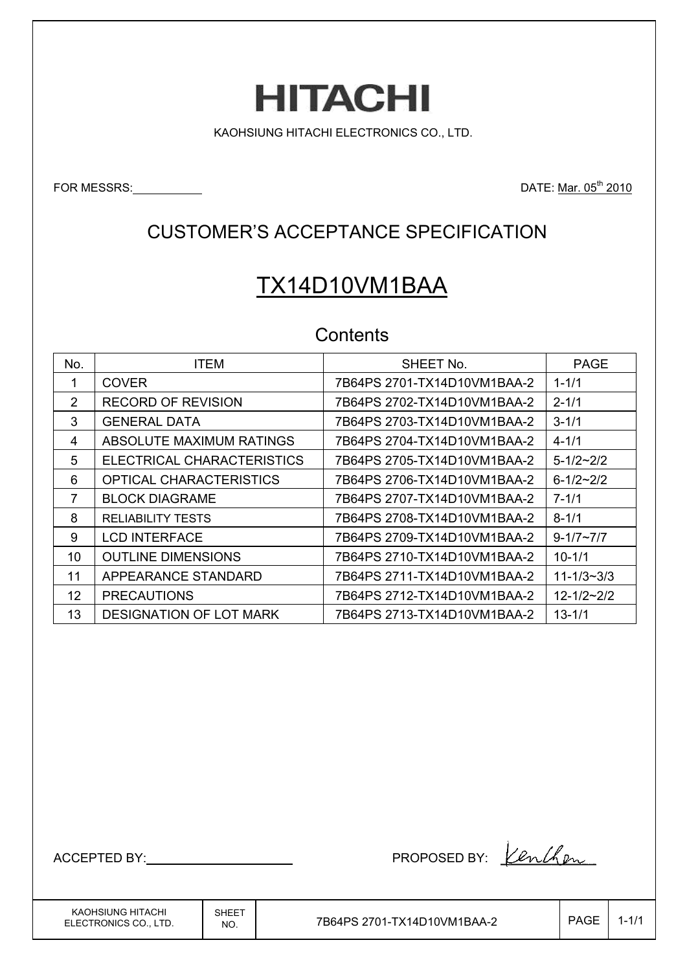# **HITACHI**

KAOHSIUNG HITACHI ELECTRONICS CO., LTD.

FOR MESSRS: No. 2010

### CUSTOMER'S ACCEPTANCE SPECIFICATION

# TX14D10VM1BAA

#### **Contents**

| No.               | <b>ITEM</b>                    | SHEET No.                   | <b>PAGE</b>        |
|-------------------|--------------------------------|-----------------------------|--------------------|
|                   | <b>COVER</b>                   | 7B64PS 2701-TX14D10VM1BAA-2 | $1 - 1/1$          |
| 2                 | <b>RECORD OF REVISION</b>      |                             | $2 - 1/1$          |
| 3                 | <b>GENERAL DATA</b>            | 7B64PS 2703-TX14D10VM1BAA-2 | $3 - 1/1$          |
| 4                 | ABSOLUTE MAXIMUM RATINGS       | 7B64PS 2704-TX14D10VM1BAA-2 | $4 - 1/1$          |
| 5                 | ELECTRICAL CHARACTERISTICS     | 7B64PS 2705-TX14D10VM1BAA-2 | $5 - 1/2 \sim 2/2$ |
| 6                 | <b>OPTICAL CHARACTERISTICS</b> | 7B64PS 2706-TX14D10VM1BAA-2 | $6 - 1/2 - 2/2$    |
| 7                 | <b>BLOCK DIAGRAME</b>          | 7B64PS 2707-TX14D10VM1BAA-2 | $7 - 1/1$          |
| 8                 | <b>RELIABILITY TESTS</b>       | 7B64PS 2708-TX14D10VM1BAA-2 | $8 - 1/1$          |
| 9                 | <b>LCD INTERFACE</b>           | 7B64PS 2709-TX14D10VM1BAA-2 | $9 - 1/7 - 7/7$    |
| 10                | <b>OUTLINE DIMENSIONS</b>      | 7B64PS 2710-TX14D10VM1BAA-2 | $10 - 1/1$         |
| 11                | APPEARANCE STANDARD            | 7B64PS 2711-TX14D10VM1BAA-2 | $11 - 1/3 - 3/3$   |
| $12 \overline{ }$ | <b>PRECAUTIONS</b>             | 7B64PS 2712-TX14D10VM1BAA-2 | $12 - 1/2 - 2/2$   |
| 13                | DESIGNATION OF LOT MARK        | 7B64PS 2713-TX14D10VM1BAA-2 | $13 - 1/1$         |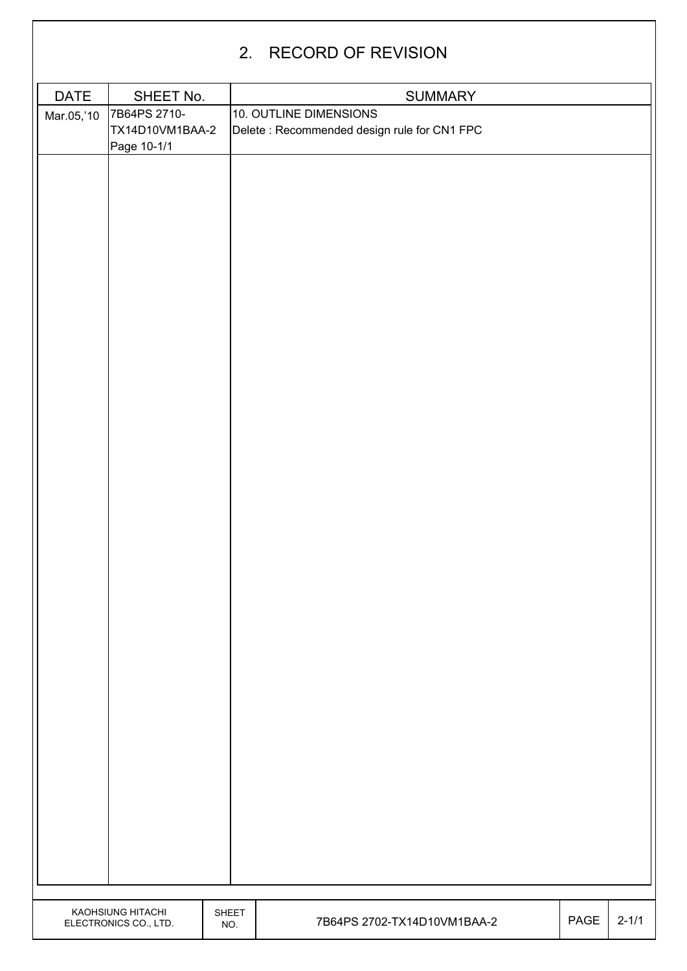|             |                                                |              | 2. RECORD OF REVISION                                                  |      |           |
|-------------|------------------------------------------------|--------------|------------------------------------------------------------------------|------|-----------|
| <b>DATE</b> | SHEET No.                                      |              | <b>SUMMARY</b>                                                         |      |           |
| Mar.05,'10  | 7B64PS 2710-<br>TX14D10VM1BAA-2<br>Page 10-1/1 |              | 10. OUTLINE DIMENSIONS<br>Delete : Recommended design rule for CN1 FPC |      |           |
|             |                                                |              |                                                                        |      |           |
|             | KAOHSIUNG HITACHI<br>ELECTRONICS CO., LTD.     | SHEET<br>NO. | 7B64PS 2702-TX14D10VM1BAA-2                                            | PAGE | $2 - 1/1$ |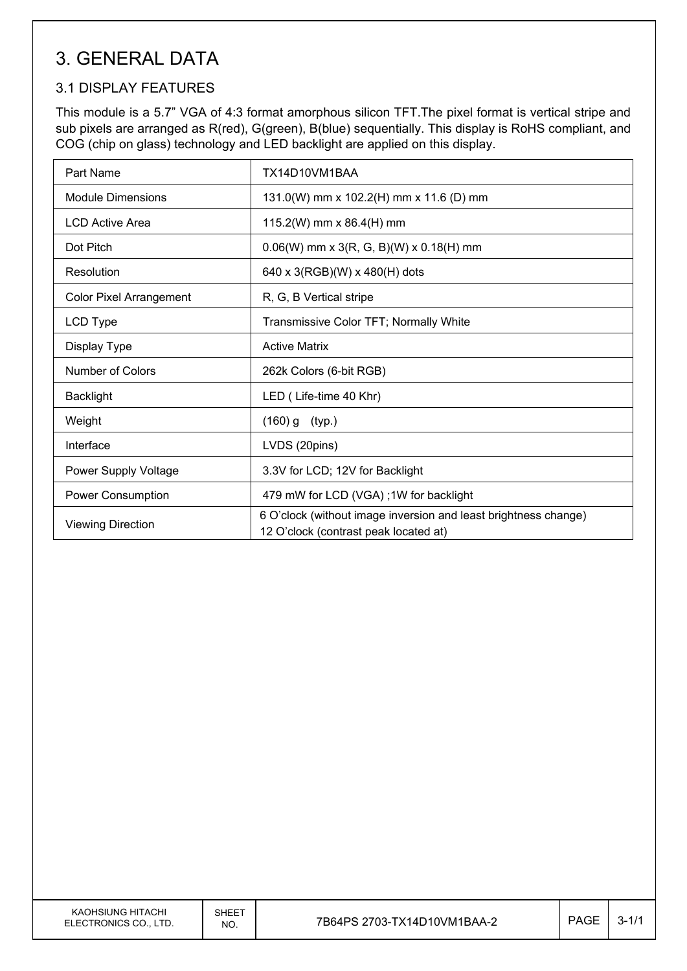# 3. GENERAL DATA

#### 3.1 DISPLAY FEATURES

This module is a 5.7" VGA of 4:3 format amorphous silicon TFT.The pixel format is vertical stripe and sub pixels are arranged as R(red), G(green), B(blue) sequentially. This display is RoHS compliant, and COG (chip on glass) technology and LED backlight are applied on this display.

| Part Name                      | TX14D10VM1BAA                                                                                            |
|--------------------------------|----------------------------------------------------------------------------------------------------------|
| <b>Module Dimensions</b>       | 131.0(W) mm x 102.2(H) mm x 11.6 (D) mm                                                                  |
| <b>LCD Active Area</b>         | 115.2(W) mm x 86.4(H) mm                                                                                 |
| Dot Pitch                      | $0.06(W)$ mm x 3(R, G, B)(W) x 0.18(H) mm                                                                |
| Resolution                     | 640 x 3(RGB)(W) x 480(H) dots                                                                            |
| <b>Color Pixel Arrangement</b> | R, G, B Vertical stripe                                                                                  |
| LCD Type                       | Transmissive Color TFT; Normally White                                                                   |
| Display Type                   | <b>Active Matrix</b>                                                                                     |
| Number of Colors               | 262k Colors (6-bit RGB)                                                                                  |
| <b>Backlight</b>               | LED (Life-time 40 Khr)                                                                                   |
| Weight                         | $(160)$ g<br>(typ.)                                                                                      |
| Interface                      | LVDS (20pins)                                                                                            |
| Power Supply Voltage           | 3.3V for LCD; 12V for Backlight                                                                          |
| Power Consumption              | 479 mW for LCD (VGA); 1W for backlight                                                                   |
| <b>Viewing Direction</b>       | 6 O'clock (without image inversion and least brightness change)<br>12 O'clock (contrast peak located at) |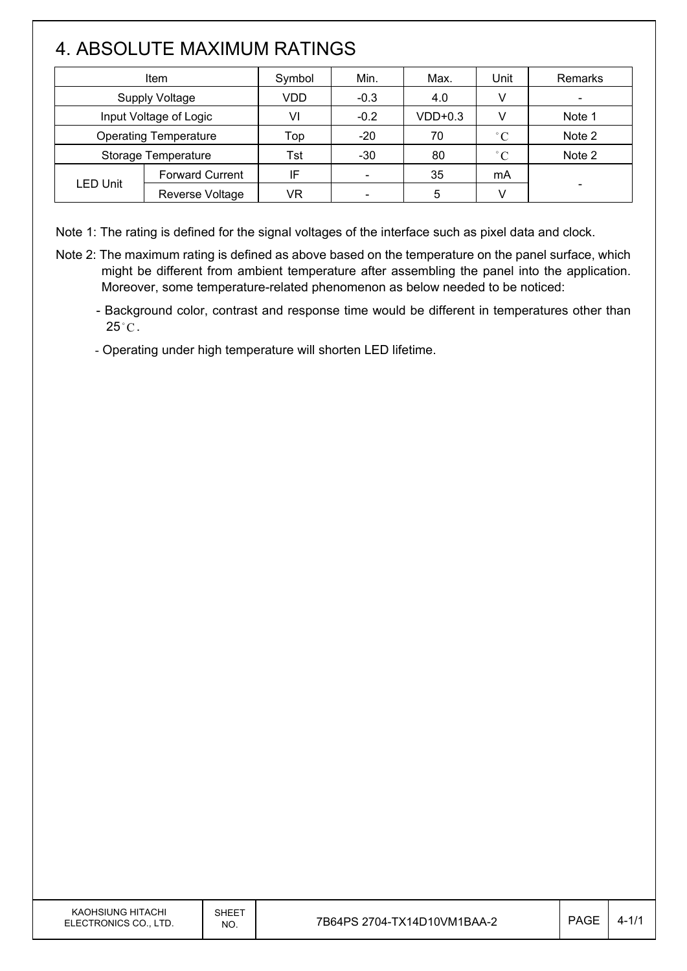# 4. ABSOLUTE MAXIMUM RATINGS

 $\mathsf{I}$ 

| <b>Item</b>                  |                        | Symbol | Min.                     | Max.      | Unit         | <b>Remarks</b> |
|------------------------------|------------------------|--------|--------------------------|-----------|--------------|----------------|
| <b>Supply Voltage</b>        |                        | VDD    | $-0.3$                   | 4.0       | V            |                |
| Input Voltage of Logic       |                        | VI     | $-0.2$                   | $VDD+0.3$ |              | Note 1         |
| <b>Operating Temperature</b> |                        | Top    | $-20$                    | 70        | $^{\circ}C$  | Note 2         |
| Storage Temperature          |                        | Tst    | $-30$                    | 80        | $^{\circ}$ C | Note 2         |
| <b>LED Unit</b>              | <b>Forward Current</b> | IF     |                          | 35        | mA           |                |
|                              | Reverse Voltage        | VR     | $\overline{\phantom{0}}$ | 5         |              |                |

Note 1: The rating is defined for the signal voltages of the interface such as pixel data and clock.

- Note 2: The maximum rating is defined as above based on the temperature on the panel surface, which might be different from ambient temperature after assembling the panel into the application. Moreover, some temperature-related phenomenon as below needed to be noticed:
	- Background color, contrast and response time would be different in temperatures other than  $25^{\circ}$ C.
	- Operating under high temperature will shorten LED lifetime.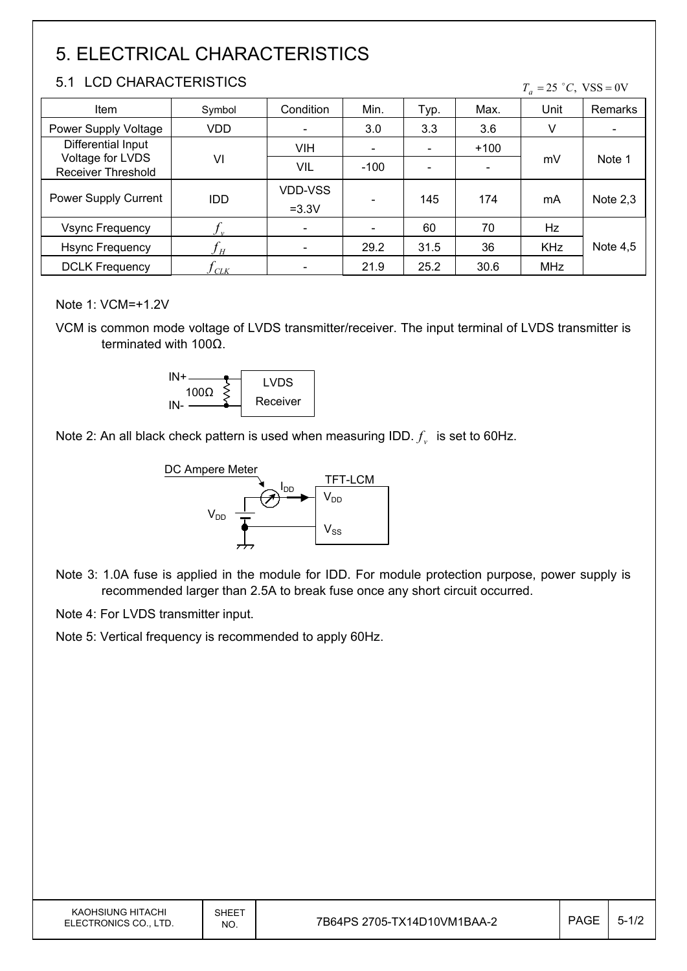# 5. ELECTRICAL CHARACTERISTICS

#### 5.1 LCD CHARACTERISTICS

 $T_a = 25$  °C, VSS = 0V

| Item                                          | Symbol     | Condition                 | Min.                     | Typ. | Max.   | Unit       | Remarks    |
|-----------------------------------------------|------------|---------------------------|--------------------------|------|--------|------------|------------|
| Power Supply Voltage                          | VDD        | $\overline{\phantom{a}}$  | 3.0                      | 3.3  | 3.6    | v          |            |
| Differential Input                            |            | <b>VIH</b>                | $\overline{\phantom{0}}$ |      | $+100$ |            | Note 1     |
| Voltage for LVDS<br><b>Receiver Threshold</b> | VI         | VIL                       | $-100$                   |      |        | mV         |            |
| Power Supply Current                          | <b>IDD</b> | <b>VDD-VSS</b><br>$=3.3V$ |                          | 145  | 174    | mA         | Note $2,3$ |
| <b>Vsync Frequency</b>                        |            | $\overline{\phantom{a}}$  |                          | 60   | 70     | Hz         |            |
| <b>Hsync Frequency</b>                        | H          | $\overline{\phantom{a}}$  | 29.2                     | 31.5 | 36     | <b>KHz</b> | Note $4,5$ |
| <b>DCLK Frequency</b>                         | CLK        |                           | 21.9                     | 25.2 | 30.6   | <b>MHz</b> |            |

Note 1: VCM=+1.2V

VCM is common mode voltage of LVDS transmitter/receiver. The input terminal of LVDS transmitter is terminated with  $100\Omega$ .



Note 2: An all black check pattern is used when measuring IDD.  $f_v$  is set to 60Hz.



Note 3: 1.0A fuse is applied in the module for IDD. For module protection purpose, power supply is recommended larger than 2.5A to break fuse once any short circuit occurred.

Note 4: For LVDS transmitter input.

Note 5: Vertical frequency is recommended to apply 60Hz.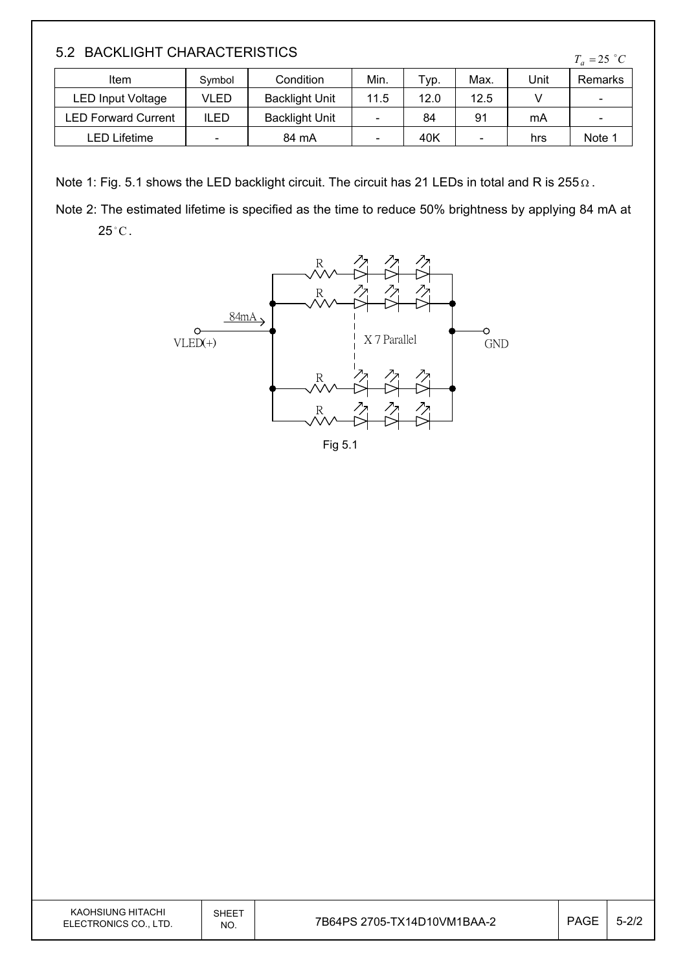#### 5.2 BACKLIGHT CHARACTERISTICS

| Item                       | Symbol | Condition             | Min. | Typ. | Max. | Unit | Remarks                  |
|----------------------------|--------|-----------------------|------|------|------|------|--------------------------|
| LED Input Voltage          | VLED   | <b>Backlight Unit</b> | 11.5 | 12.0 | 12.5 |      | $\overline{\phantom{a}}$ |
| <b>LED Forward Current</b> | ILED   | <b>Backlight Unit</b> |      | 84   | 91   | mA   | $\overline{\phantom{a}}$ |
| LED Lifetime               | -      | 84 mA                 |      | 40K  | -    | hrs  | Note 1                   |

Note 1: Fig. 5.1 shows the LED backlight circuit. The circuit has 21 LEDs in total and R is 255  $\Omega$ .

Note 2: The estimated lifetime is specified as the time to reduce 50% brightness by applying 84 mA at  $25^{\circ}$ C.



Fig 5.1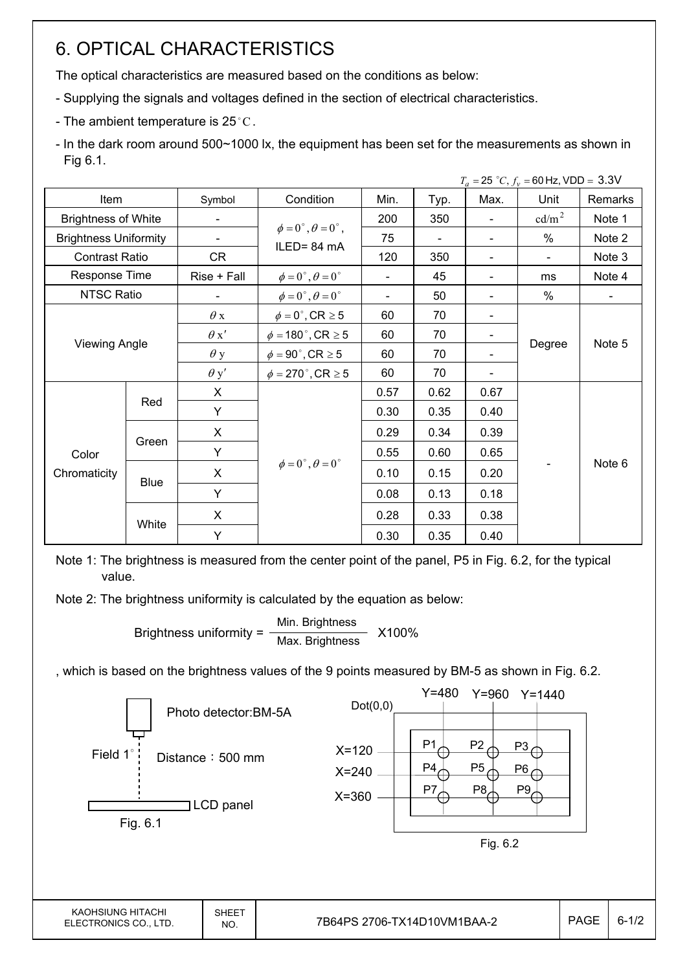# 6. OPTICAL CHARACTERISTICS

The optical characteristics are measured based on the conditions as below:

- Supplying the signals and voltages defined in the section of electrical characteristics.
- The ambient temperature is 25 $^{\circ}$ C.

- In the dark room around 500~1000 lx, the equipment has been set for the measurements as shown in Fig 6.1.

|                              |             |             |                                         |                          |      |                              | $T_a = 25$ °C, $f_v = 60$ Hz, VDD = 3.3V |                |
|------------------------------|-------------|-------------|-----------------------------------------|--------------------------|------|------------------------------|------------------------------------------|----------------|
| Item                         |             | Symbol      | Condition                               | Min.                     | Typ. | Max.                         | Unit                                     | Remarks        |
| <b>Brightness of White</b>   |             |             |                                         | 200                      | 350  |                              | cd/m <sup>2</sup>                        | Note 1         |
| <b>Brightness Uniformity</b> |             |             | $\phi = 0^{\circ}, \theta = 0^{\circ},$ | 75                       |      |                              | %                                        | Note 2         |
| <b>Contrast Ratio</b>        |             | CR          | ILED=84 mA                              | 120                      | 350  |                              | $\overline{\phantom{0}}$                 | Note 3         |
| Response Time                |             | Rise + Fall | $\phi = 0^{\circ}, \theta = 0^{\circ}$  | $\overline{\phantom{0}}$ | 45   |                              | ms                                       | Note 4         |
| <b>NTSC Ratio</b>            |             |             | $\phi = 0^{\circ}, \theta = 0^{\circ}$  | $\overline{\phantom{0}}$ | 50   |                              | %                                        | $\blacksquare$ |
|                              |             | $\theta$ x  | $\phi = 0^\circ$ , CR $\geq 5$          | 60                       | 70   | $\qquad \qquad \blacksquare$ |                                          | Note 5         |
|                              |             | $\theta x'$ | $\phi = 180^\circ$ , CR $\geq 5$        | 60                       | 70   | $\overline{\phantom{a}}$     |                                          |                |
| <b>Viewing Angle</b>         |             | $\theta$ y  | $\phi = 90^\circ$ , CR $\geq 5$         | 60                       | 70   |                              | Degree                                   |                |
|                              |             | $\theta$ y' | $\phi = 270$ °, CR $\geq 5$             | 60                       | 70   |                              |                                          |                |
|                              |             | X           |                                         | 0.57                     | 0.62 | 0.67                         |                                          |                |
|                              | Red         | Y           |                                         | 0.30                     | 0.35 | 0.40                         |                                          |                |
|                              |             | X           |                                         | 0.29                     | 0.34 | 0.39                         |                                          |                |
| Color                        | Green       | Υ           |                                         | 0.55                     | 0.60 | 0.65                         |                                          |                |
| Chromaticity                 |             | X           | $\phi = 0^{\circ}, \theta = 0^{\circ}$  | 0.10                     | 0.15 | 0.20                         |                                          | Note 6         |
|                              | <b>Blue</b> | Y           |                                         | 0.08                     | 0.13 | 0.18                         |                                          |                |
|                              |             | X           |                                         | 0.28                     | 0.33 | 0.38                         |                                          |                |
|                              | White       | Υ           |                                         | 0.30                     | 0.35 | 0.40                         |                                          |                |

Note 1: The brightness is measured from the center point of the panel, P5 in Fig. 6.2, for the typical value.

Note 2: The brightness uniformity is calculated by the equation as below:

Brightness uniformity =  $\frac{\text{Min.~Brighness}}{\text{Min.~Brighness}}$  X100% Max. Brightness

, which is based on the brightness values of the 9 points measured by BM-5 as shown in Fig. 6.2.

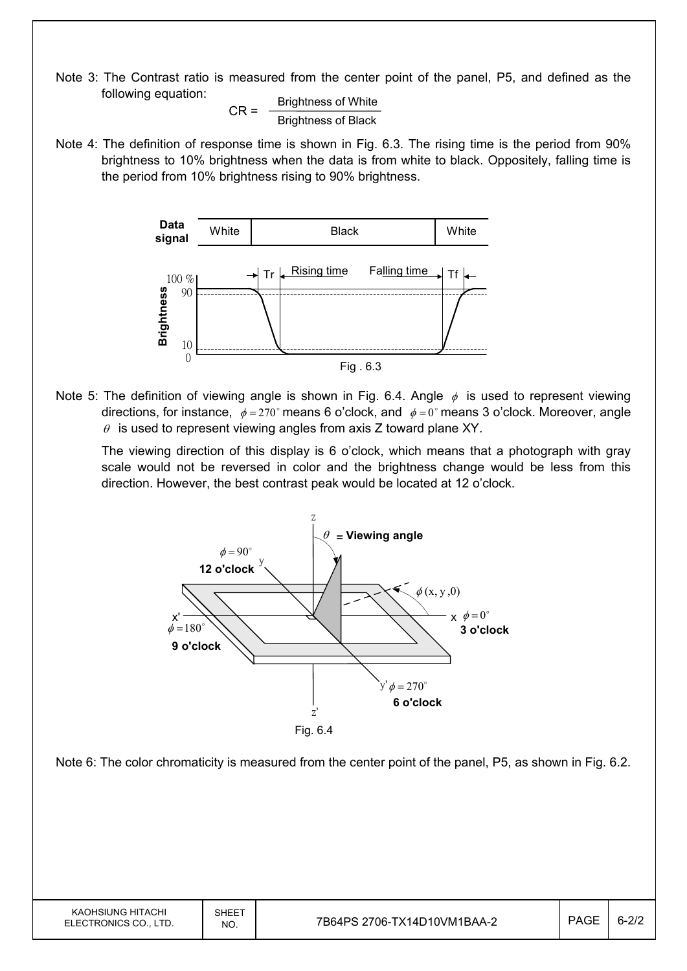Note 3: The Contrast ratio is measured from the center point of the panel, P5, and defined as the following equation:

$$
CR = \frac{Brightness \space of \space White}{Brightness \space of \space Black}
$$

Note 4: The definition of response time is shown in Fig. 6.3. The rising time is the period from 90% brightness to 10% brightness when the data is from white to black. Oppositely, falling time is the period from 10% brightness rising to 90% brightness.



Note 5: The definition of viewing angle is shown in Fig. 6.4. Angle  $\phi$  is used to represent viewing directions, for instance,  $\phi = 270^\circ$  means 6 o'clock, and  $\phi = 0^\circ$  means 3 o'clock. Moreover, angle  $\theta$  is used to represent viewing angles from axis Z toward plane XY.

 The viewing direction of this display is 6 o'clock, which means that a photograph with gray scale would not be reversed in color and the brightness change would be less from this direction. However, the best contrast peak would be located at 12 o'clock.

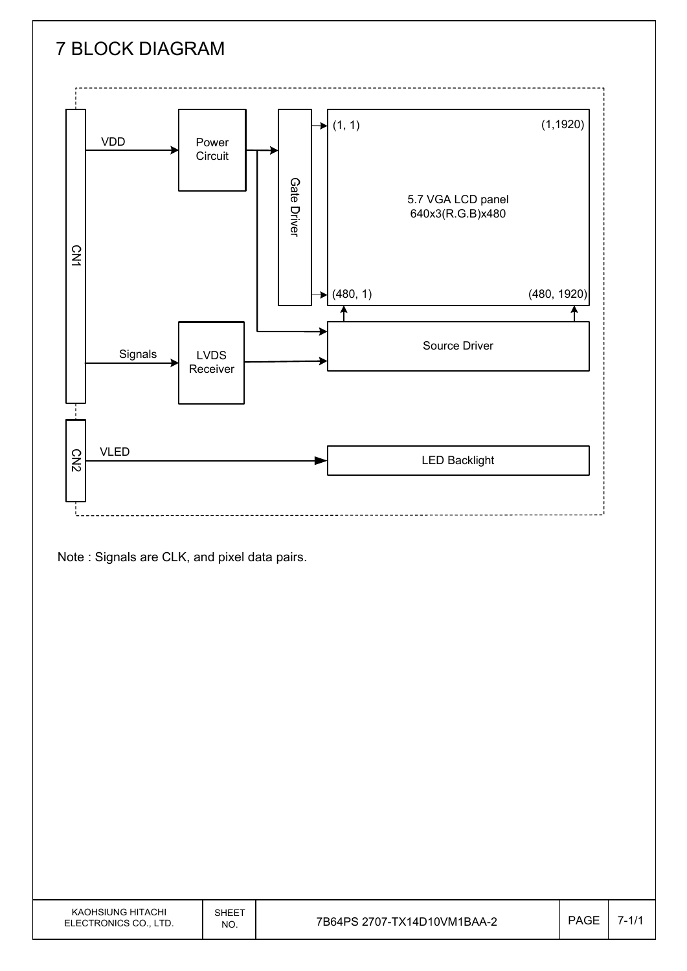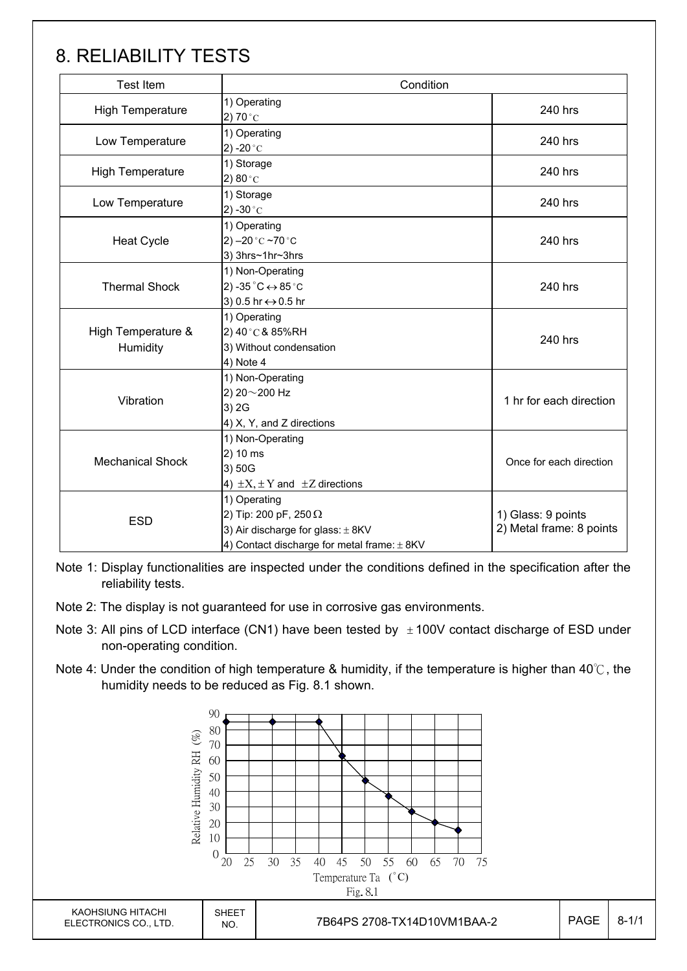# 8. RELIABILITY TESTS

| <b>Test Item</b>               | Condition                                                                                                                            |                                                |
|--------------------------------|--------------------------------------------------------------------------------------------------------------------------------------|------------------------------------------------|
| <b>High Temperature</b>        | 1) Operating<br>2) 70 $^{\circ}$ C                                                                                                   | 240 hrs                                        |
| Low Temperature                | 1) Operating<br>2) -20 $^{\circ}$ C                                                                                                  | 240 hrs                                        |
| <b>High Temperature</b>        | 1) Storage<br>2) $80^{\circ}$ C                                                                                                      | 240 hrs                                        |
| Low Temperature                | 1) Storage<br>2) -30 $^{\circ}$ C                                                                                                    | 240 hrs                                        |
| <b>Heat Cycle</b>              | 1) Operating<br>2) $-20$ °C $-70$ °C<br>3) 3hrs~1hr~3hrs                                                                             | 240 hrs                                        |
| <b>Thermal Shock</b>           | 1) Non-Operating<br>2) -35 $^{\circ}$ C $\leftrightarrow$ 85 $^{\circ}$ C<br>3) 0.5 hr ↔ 0.5 hr                                      | 240 hrs                                        |
| High Temperature &<br>Humidity | 1) Operating<br>2) 40°C & 85%RH<br>3) Without condensation<br>4) Note 4                                                              | 240 hrs                                        |
| Vibration                      | 1) Non-Operating<br>2) 20~200 Hz<br>3) 2G<br>4) X, Y, and Z directions                                                               | 1 hr for each direction                        |
| <b>Mechanical Shock</b>        | 1) Non-Operating<br>2) 10 ms<br>3) 50G<br>4) $\pm X$ , $\pm Y$ and $\pm Z$ directions                                                | Once for each direction                        |
| <b>ESD</b>                     | 1) Operating<br>2) Tip: 200 pF, 250 $\Omega$<br>3) Air discharge for glass: $\pm$ 8KV<br>4) Contact discharge for metal frame: ± 8KV | 1) Glass: 9 points<br>2) Metal frame: 8 points |

Note 1: Display functionalities are inspected under the conditions defined in the specification after the reliability tests.

Note 2: The display is not guaranteed for use in corrosive gas environments.

- Note 3: All pins of LCD interface (CN1) have been tested by  $\pm 100V$  contact discharge of ESD under non-operating condition.
- Note 4: Under the condition of high temperature & humidity, if the temperature is higher than 40°C, the humidity needs to be reduced as Fig. 8.1 shown.

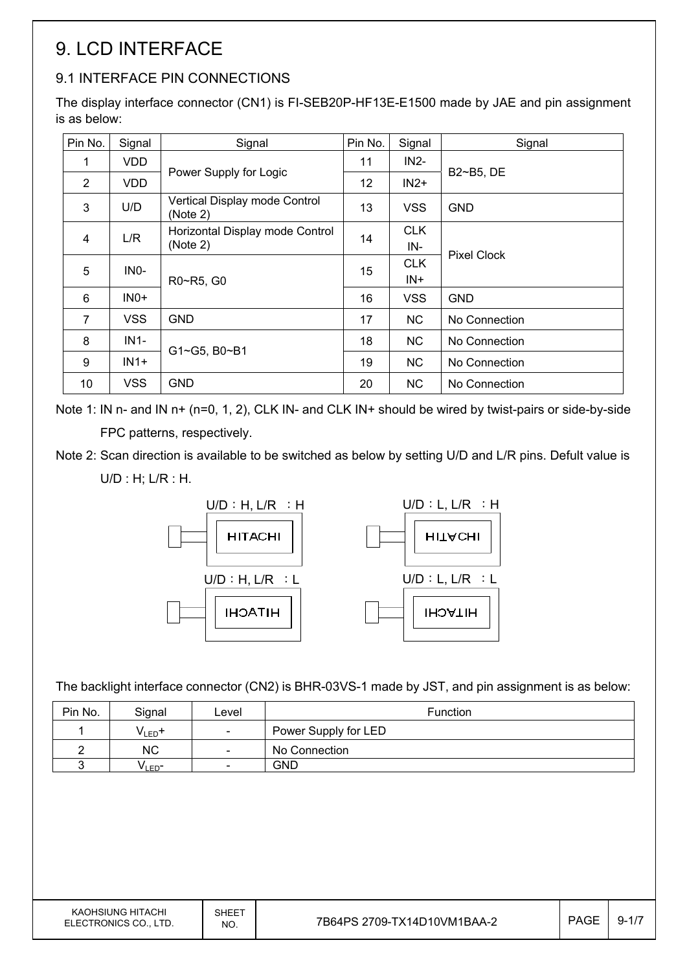# 9. LCD INTERFACE

### 9.1 INTERFACE PIN CONNECTIONS

The display interface connector (CN1) is FI-SEB20P-HF13E-E1500 made by JAE and pin assignment is as below:

| Pin No.        | Signal     | Signal                                    | Pin No. | Signal     | Signal             |  |  |
|----------------|------------|-------------------------------------------|---------|------------|--------------------|--|--|
| 1              | <b>VDD</b> |                                           | 11      | $IN2-$     |                    |  |  |
| 2              | <b>VDD</b> | Power Supply for Logic                    | 12      | $IN2+$     | B2~B5, DE          |  |  |
| 3              | U/D        | Vertical Display mode Control<br>(Note 2) | 13      | <b>VSS</b> | <b>GND</b>         |  |  |
| $\overline{4}$ | L/R        | Horizontal Display mode Control           | 14      | <b>CLK</b> |                    |  |  |
|                |            | (Note 2)                                  |         | IN-        | <b>Pixel Clock</b> |  |  |
| 5              |            | INO-<br>R0~R5, G0                         | 15      | <b>CLK</b> |                    |  |  |
|                |            |                                           |         | IN+        |                    |  |  |
| 6              | $INO+$     |                                           | 16      | <b>VSS</b> | <b>GND</b>         |  |  |
| 7              | <b>VSS</b> | <b>GND</b>                                | 17      | NC.        | No Connection      |  |  |
| 8              | $IN1-$     | G1~G5, B0~B1                              | 18      | NC.        | No Connection      |  |  |
| 9              | $IN1+$     |                                           | 19      | NC.        | No Connection      |  |  |
| 10             | <b>VSS</b> | <b>GND</b>                                | 20      | NC.        | No Connection      |  |  |

Note 1: IN n- and IN n+ (n=0, 1, 2), CLK IN- and CLK IN+ should be wired by twist-pairs or side-by-side FPC patterns, respectively.

Note 2: Scan direction is available to be switched as below by setting U/D and L/R pins. Defult value is

U/D : H; L/R : H.



The backlight interface connector (CN2) is BHR-03VS-1 made by JST, and pin assignment is as below:

| Pin No. | Signal            | Level                    | <b>Function</b>      |
|---------|-------------------|--------------------------|----------------------|
|         | $V_{LED}$ +       | $\overline{\phantom{a}}$ | Power Supply for LED |
|         | <b>NC</b>         | $\overline{\phantom{a}}$ | No Connection        |
|         | VLED <sup>-</sup> | $\overline{\phantom{a}}$ | GND                  |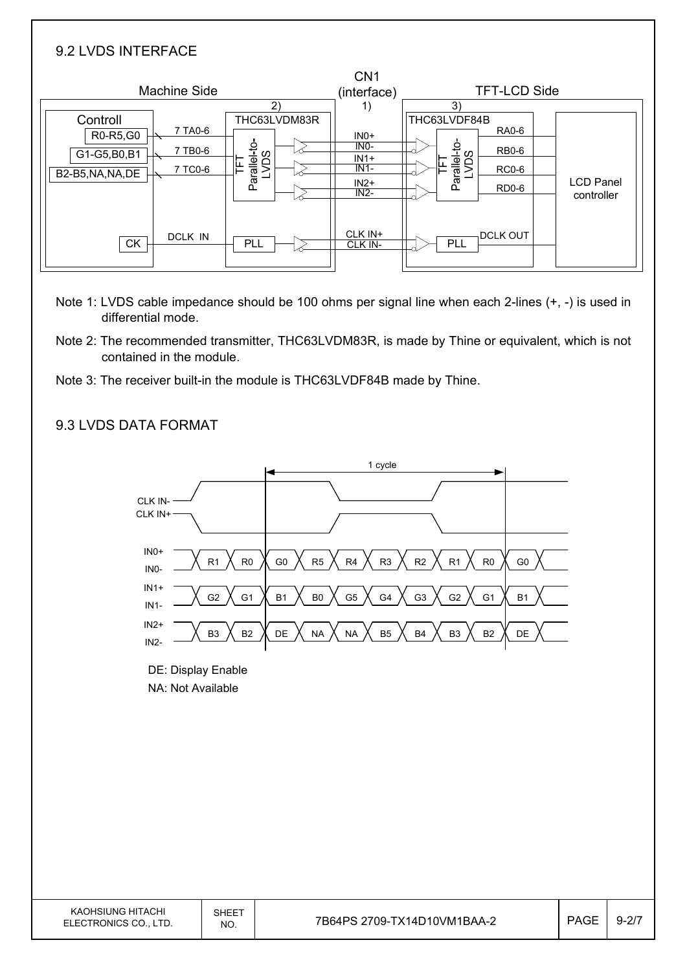| 9.2 LVDS INTERFACE                                       |                                                                            |                                                          |                                                                                                                 |                                |
|----------------------------------------------------------|----------------------------------------------------------------------------|----------------------------------------------------------|-----------------------------------------------------------------------------------------------------------------|--------------------------------|
| <b>Machine Side</b>                                      | 2)                                                                         | CN <sub>1</sub><br>(interface)<br>1)                     | <b>TFT-LCD Side</b><br>3)                                                                                       |                                |
| Controll<br>R0-R5,G0<br>G1-G5,B0,B1<br>B2-B5, NA, NA, DE | THC63LVDM83R<br>7 TA0-6<br>Parallel-to-<br>LVDS<br>7 TB0-6<br>띹<br>7 TC0-6 | $INO+$<br>$INO-$<br>$IN1+$<br>$IN1-$<br>$IN2+$<br>$IN2-$ | THC63LVDF84B<br><b>RA0-6</b><br>Parallel-to-<br>LVDS<br><b>RB0-6</b><br>뇬<br><b>RC0-6</b><br>RD <sub>0</sub> -6 | <b>LCD Panel</b><br>controller |
| <b>CK</b>                                                | <b>DCLK IN</b><br>PLL                                                      | CLK IN+<br>CLK IN-                                       | <b>DCLK OUT</b><br>PLL                                                                                          |                                |

- Note 1: LVDS cable impedance should be 100 ohms per signal line when each 2-lines (+, -) is used in differential mode.
- Note 2: The recommended transmitter, THC63LVDM83R, is made by Thine or equivalent, which is not contained in the module.
- Note 3: The receiver built-in the module is THC63LVDF84B made by Thine.

#### 9.3 LVDS DATA FORMAT

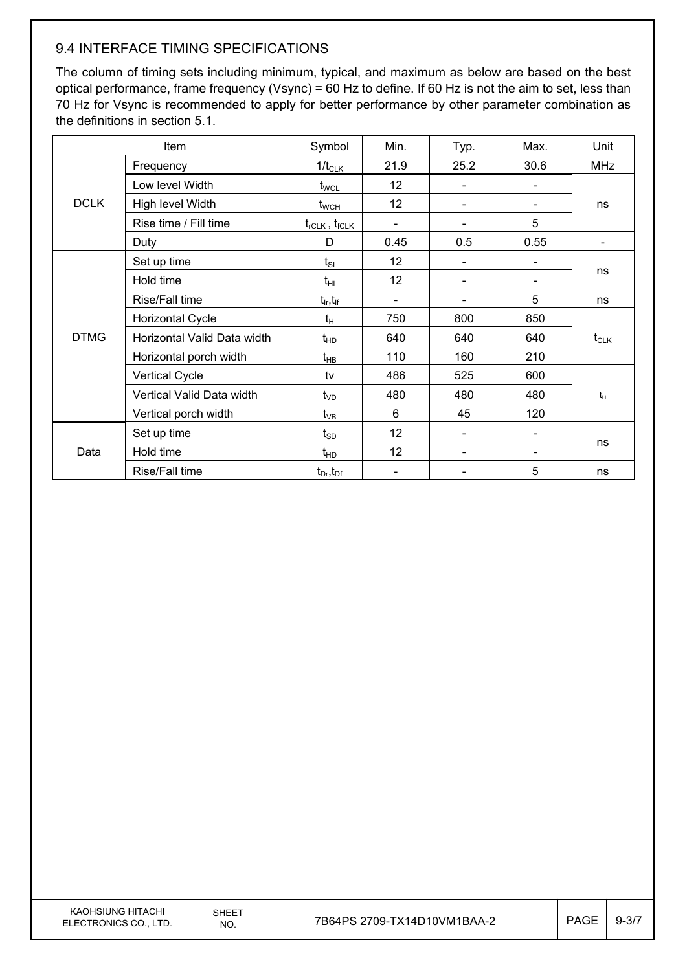#### 9.4 INTERFACE TIMING SPECIFICATIONS

The column of timing sets including minimum, typical, and maximum as below are based on the best optical performance, frame frequency (Vsync) = 60 Hz to define. If 60 Hz is not the aim to set, less than 70 Hz for Vsync is recommended to apply for better performance by other parameter combination as the definitions in section 5.1.

| Item        |                             | Symbol                          | Min.                     | Typ. | Max. | Unit       |  |
|-------------|-----------------------------|---------------------------------|--------------------------|------|------|------------|--|
|             | Frequency                   | $1/t_{CLK}$                     | 21.9                     | 25.2 | 30.6 | <b>MHz</b> |  |
|             | Low level Width             | $t_{\text{WCL}}$                | 12                       |      |      |            |  |
| <b>DCLK</b> | High level Width            | $t_{\scriptscriptstyle\rm WCH}$ | 12                       |      |      | ns         |  |
|             | Rise time / Fill time       | $t_{rCLK}$ , $t_{fCLK}$         | $\overline{\phantom{a}}$ |      | 5    |            |  |
|             | Duty                        | D                               | 0.45                     | 0.5  | 0.55 |            |  |
|             | Set up time                 | $t_{SI}$                        | 12                       |      |      |            |  |
|             | Hold time                   | $t_{\rm HI}$                    | 12                       |      |      | ns         |  |
|             | Rise/Fall time              | $t_{\sf lr}, t_{\sf lf}$        |                          |      | 5    | ns         |  |
|             | <b>Horizontal Cycle</b>     | $t_H$                           | 750                      | 800  | 850  |            |  |
| <b>DTMG</b> | Horizontal Valid Data width | $t_{HD}$                        | 640                      | 640  | 640  | $t_{CLK}$  |  |
|             | Horizontal porch width      | $t_{HB}$                        | 110                      | 160  | 210  |            |  |
|             | <b>Vertical Cycle</b>       | tv                              | 486                      | 525  | 600  |            |  |
|             | Vertical Valid Data width   | $t_{VD}$                        | 480                      | 480  | 480  | $t_H$      |  |
|             | Vertical porch width        | $t_{VB}$                        | 6                        | 45   | 120  |            |  |
| Data        | Set up time                 | $\mathfrak{t}_{\texttt{SD}}$    | 12                       |      |      |            |  |
|             | Hold time                   | $t_{HD}$                        | 12                       |      |      | ns         |  |
|             | Rise/Fall time              | $t_{Dr}$ , $t_{Dr}$             |                          |      | 5    | ns         |  |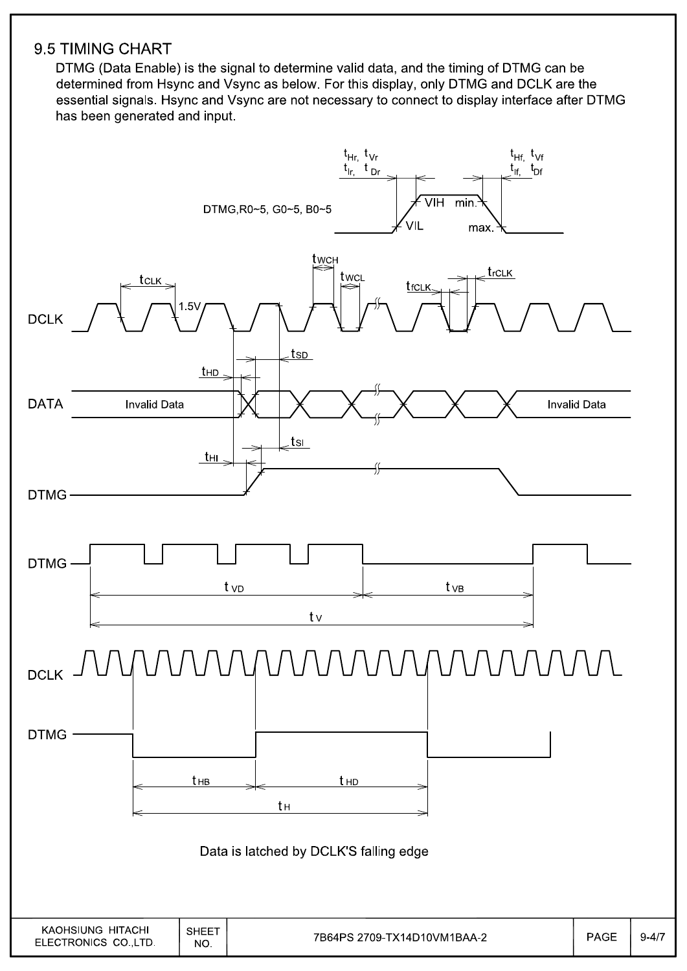#### 9.5 TIMING CHART

DTMG (Data Enable) is the signal to determine valid data, and the timing of DTMG can be determined from Hsync and Vsync as below. For this display, only DTMG and DCLK are the essential signals. Hsync and Vsync are not necessary to connect to display interface after DTMG has been generated and input.

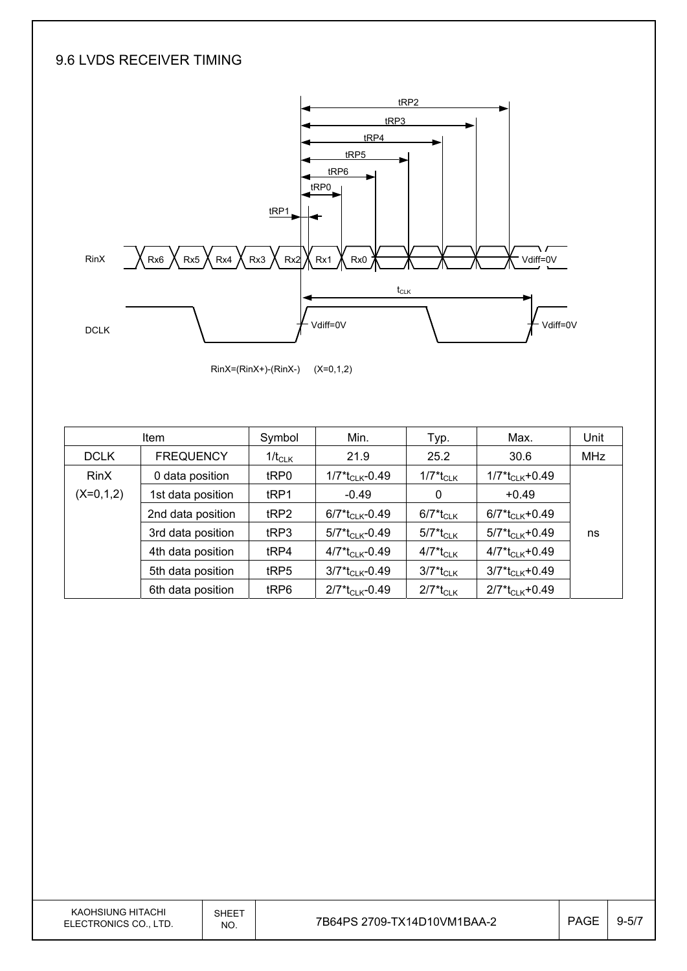#### 9.6 LVDS RECEIVER TIMING





|             | <b>Item</b>       | Symbol           | Min.                                      | Typ.                                | Max.                                       | Unit       |
|-------------|-------------------|------------------|-------------------------------------------|-------------------------------------|--------------------------------------------|------------|
| <b>DCLK</b> | <b>FREQUENCY</b>  | $1/t_{CLK}$      | 21.9                                      | 25.2                                | 30.6                                       | <b>MHz</b> |
| <b>RinX</b> | 0 data position   | tRP0             | 1/7*t <sub>CLK</sub> -0.49                | $1/7$ <sup>*</sup> t <sub>CLK</sub> | $1/7$ <sup>*</sup> t <sub>CLK</sub> +0.49  |            |
| $(X=0,1,2)$ | 1st data position | t <sub>RP1</sub> | $-0.49$                                   | 0                                   | $+0.49$                                    |            |
|             | 2nd data position | tRP2             | $6/7$ <sup>*</sup> t <sub>CLK</sub> -0.49 | 6/7*t <sub>CLK</sub>                | $6/7$ <sup>*</sup> t <sub>Cl K</sub> +0.49 |            |
|             | 3rd data position | tRP3             | $5/7$ <sup>*</sup> t <sub>CLK</sub> -0.49 | 5/7*t <sub>CLK</sub>                | $5/7$ <sup>*</sup> t <sub>Cl K</sub> +0.49 | ns         |
|             | 4th data position | t <sub>RP4</sub> | $4/7$ *t <sub>CLK</sub> -0.49             | 4/7*t <sub>CLK</sub>                | $4/7$ <sup>*</sup> t <sub>CLK</sub> +0.49  |            |
|             | 5th data position | tRP5             | $3/7$ <sup>*</sup> t <sub>CLK</sub> -0.49 | 3/7*t <sub>CLK</sub>                | $3/7*t_{CLK}+0.49$                         |            |
|             | 6th data position | tRP6             | $2/7$ <sup>*</sup> t <sub>CLK</sub> -0.49 | $2/7$ <sup>*</sup> t <sub>CLK</sub> | $2/7*t_{CLK}+0.49$                         |            |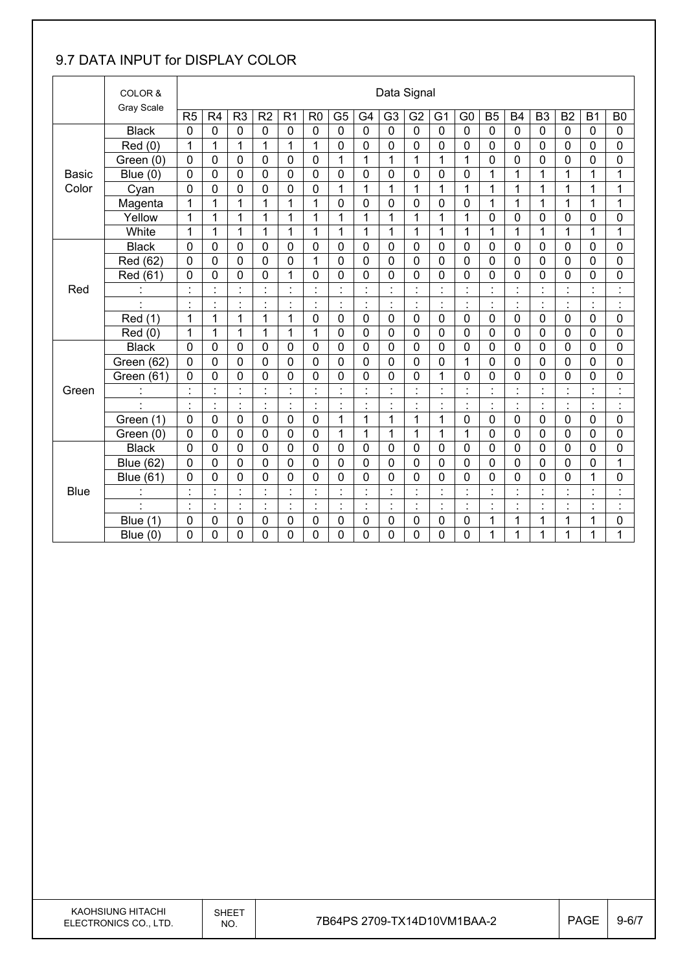#### 9.7 DATA INPUT for DISPLAY COLOR

|              | COLOR &              |                |                |                                  |                      |                           |                |                |                           | Data Signal    |                |                            |                                  |                      |                |                      |                |                      |                                  |
|--------------|----------------------|----------------|----------------|----------------------------------|----------------------|---------------------------|----------------|----------------|---------------------------|----------------|----------------|----------------------------|----------------------------------|----------------------|----------------|----------------------|----------------|----------------------|----------------------------------|
|              | <b>Gray Scale</b>    | R <sub>5</sub> | R <sub>4</sub> | R <sub>3</sub>                   | R <sub>2</sub>       | R <sub>1</sub>            | R <sub>0</sub> | G <sub>5</sub> | G4                        | G <sub>3</sub> | G <sub>2</sub> | G <sub>1</sub>             | G <sub>0</sub>                   | B <sub>5</sub>       | <b>B4</b>      | B <sub>3</sub>       | B <sub>2</sub> | <b>B1</b>            | B <sub>0</sub>                   |
|              | <b>Black</b>         | $\mathbf 0$    | $\mathbf 0$    | $\mathbf 0$                      | $\mathbf 0$          | $\mathbf 0$               | 0              | $\mathbf 0$    | $\mathbf 0$               | $\mathbf 0$    | $\mathbf 0$    | $\mathbf 0$                | $\mathbf 0$                      | $\mathbf 0$          | $\mathbf 0$    | $\mathbf 0$          | $\mathbf 0$    | $\mathbf 0$          | $\mathbf 0$                      |
|              | Red (0)              | 1              | 1              | 1                                | $\overline{1}$       | $\overline{1}$            | 1              | $\mathbf 0$    | 0                         | 0              | $\mathbf 0$    | 0                          | $\mathbf 0$                      | $\mathbf 0$          | 0              | $\mathbf 0$          | $\mathbf 0$    | $\mathbf 0$          | 0                                |
|              | Green (0)            | $\mathbf 0$    | 0              | $\mathbf 0$                      | $\mathbf 0$          | 0                         | $\mathbf 0$    | 1              | 1                         | 1              | 1              | 1                          | 1                                | $\mathbf 0$          | 0              | $\mathbf 0$          | $\mathbf 0$    | 0                    | 0                                |
| <b>Basic</b> | Blue $(0)$           | $\mathbf 0$    | 0              | $\mathbf 0$                      | $\mathbf 0$          | $\mathbf 0$               | $\mathbf 0$    | $\mathbf 0$    | 0                         | 0              | $\mathbf 0$    | 0                          | $\mathbf 0$                      | 1                    | 1              | 1                    | $\mathbf{1}$   | 1                    | $\mathbf{1}$                     |
| Color        | Cyan                 | $\mathbf 0$    | 0              | 0                                | $\mathbf 0$          | $\mathbf 0$               | $\mathbf 0$    | 1              | $\mathbf 1$               | 1              | 1              | 1                          | 1                                | 1                    | 1              | 1                    | $\mathbf 1$    | 1                    | 1                                |
|              | Magenta              | 1              | 1              | 1                                | 1                    | 1                         | 1              | 0              | 0                         | 0              | 0              | 0                          | 0                                | 1                    | 1              | 1                    | 1              | 1                    | 1                                |
|              | Yellow               | 1              | 1              | 1                                | 1                    | 1                         | 1              | 1              | 1                         | 1              | 1              | 1                          | 1                                | $\mathbf 0$          | 0              | $\mathbf 0$          | $\mathbf 0$    | 0                    | 0                                |
|              | White                | $\mathbf{1}$   | 1              | 1                                | 1                    | $\mathbf 1$               | 1              | 1              | 1                         | 1              | $\mathbf{1}$   | 1                          | 1                                | 1                    | 1              | 1                    | 1              | 1                    | 1                                |
|              | <b>Black</b>         | 0              | 0              | 0                                | $\mathbf 0$          | 0                         | 0              | 0              | 0                         | 0              | 0              | 0                          | 0                                | $\mathbf 0$          | 0              | $\mathbf 0$          | $\mathbf 0$    | $\mathbf 0$          | 0                                |
|              | Red (62)             | $\mathbf 0$    | $\mathbf 0$    | $\mathbf 0$                      | $\mathbf 0$          | 0                         | 1              | $\mathbf 0$    | $\overline{0}$            | $\mathbf{0}$   | $\mathbf 0$    | 0                          | $\mathbf 0$                      | $\mathbf 0$          | 0              | $\mathbf 0$          | $\mathbf 0$    | $\mathbf 0$          | 0                                |
|              | Red (61)             | 0              | $\mathbf 0$    | 0                                | $\mathbf 0$          | 1                         | $\mathbf 0$    | $\mathbf 0$    | 0                         | 0              | 0              | 0                          | 0                                | $\mathbf 0$          | 0              | $\mathbf 0$          | $\overline{0}$ | 0                    | 0                                |
| Red          |                      |                |                | $\blacksquare$                   |                      | $\cdot$                   |                | $\cdot$        | $\cdot$                   |                |                |                            | $\blacksquare$<br>$\blacksquare$ | $\cdot$              |                |                      |                | $\blacksquare$       | $\blacksquare$                   |
|              | $\cdot$              | $\blacksquare$ | $\blacksquare$ | $\blacksquare$                   | $\cdot$              | $\blacksquare$            | $\blacksquare$ | $\ddot{\cdot}$ | $\overline{\phantom{a}}$  | $\blacksquare$ | $\ddot{\cdot}$ | $\blacksquare$             | ÷,                               | $\ddot{\phantom{a}}$ | $\blacksquare$ | $\blacksquare$       | $\ddot{\cdot}$ | $\ddot{\phantom{a}}$ | $\ddot{\cdot}$                   |
|              | Red (1)              | $\mathbf{1}$   | 1              | 1                                | 1                    | $\mathbf{1}$              | $\mathbf 0$    | $\mathbf 0$    | 0                         | $\mathbf 0$    | $\mathbf 0$    | $\mathbf 0$                | $\mathbf 0$                      | $\mathbf 0$          | $\mathbf 0$    | $\mathbf 0$          | $\mathbf 0$    | $\mathbf 0$          | 0                                |
|              | Red(0)               | 1              | 1              | 1                                | 1                    | 1                         | 1              | $\mathbf 0$    | $\mathbf 0$               | 0              | 0              | 0                          | 0                                | 0                    | 0              | 0                    | 0              | $\mathbf 0$          | 0                                |
|              | <b>Black</b>         | $\mathbf 0$    | 0              | 0                                | $\mathbf 0$          | 0                         | $\mathbf 0$    | $\mathbf 0$    | 0                         | 0              | 0              | 0                          | $\mathbf 0$                      | $\mathbf 0$          | 0              | $\mathbf 0$          | $\mathbf 0$    | $\mathbf 0$          | 0                                |
|              | Green (62)           | $\mathbf 0$    | 0              | $\mathbf 0$                      | $\mathbf 0$          | $\mathbf 0$               | $\mathbf 0$    | 0              | 0                         | 0              | $\mathbf 0$    | 0                          | $\mathbf{1}$                     | $\mathbf 0$          | 0              | $\mathbf 0$          | $\mathbf 0$    | 0                    | 0                                |
|              | Green (61)           | 0              | 0              | $\mathbf 0$                      | $\mathbf 0$          | 0                         | $\mathbf 0$    | 0              | 0                         | 0              | 0              | 1                          | 0                                | $\mathbf 0$          | 0              | 0                    | $\mathbf 0$    | $\mathbf 0$          | 0                                |
| Green        |                      | $\cdot$        | $\ddot{\cdot}$ | $\ddot{\cdot}$                   | $\ddot{\cdot}$       | $\ddot{\cdot}$            |                | $\ddot{\cdot}$ | $\ddot{\cdot}$            | Ì              | $\ddot{\cdot}$ | $\ddot{\cdot}$             | ł,                               | $\ddot{\cdot}$       | $\ddot{\cdot}$ | $\ddot{\phantom{a}}$ | ł,             | $\ddot{\cdot}$       | $\overline{\phantom{a}}$         |
|              | $\ddot{\phantom{0}}$ | $\blacksquare$ | $\blacksquare$ | $\blacksquare$                   | $\blacksquare$       | $\blacksquare$<br>$\cdot$ | $\blacksquare$ | Ì.             | $\blacksquare$            | $\cdot$        | $\blacksquare$ | $\blacksquare$             | $\blacksquare$<br>$\blacksquare$ | $\blacksquare$       | $\cdot$        | $\blacksquare$       | $\blacksquare$ | $\blacksquare$       | $\blacksquare$<br>$\cdot$        |
|              | Green (1)            | $\mathbf 0$    | 0              | $\mathbf 0$                      | $\mathbf 0$          | $\mathbf 0$               | $\mathbf 0$    | 1              | 1                         | 1              | 1              | 1                          | 0                                | $\mathbf 0$          | $\mathbf 0$    | $\mathbf 0$          | $\mathbf 0$    | $\mathbf 0$          | 0                                |
|              | Green (0)            | 0              | 0              | 0                                | 0                    | 0                         | $\mathbf 0$    | 1              | 1                         | 1              | 1              | 1                          | 1                                | $\mathbf 0$          | 0              | 0                    | $\mathbf 0$    | 0                    | 0                                |
|              | <b>Black</b>         | $\mathbf 0$    | 0              | $\mathbf 0$                      | $\mathbf 0$          | $\mathbf 0$               | $\mathbf 0$    | $\mathbf 0$    | 0                         | 0              | 0              | 0                          | 0                                | $\mathbf 0$          | 0              | $\mathbf 0$          | $\mathbf 0$    | 0                    | 0                                |
|              | <b>Blue (62)</b>     | $\mathbf 0$    | 0              | $\mathbf 0$                      | $\mathbf 0$          | 0                         | $\mathbf 0$    | $\mathbf 0$    | 0                         | 0              | $\mathbf 0$    | 0                          | $\mathbf 0$                      | $\mathbf 0$          | 0              | $\mathbf 0$          | 0              | 0                    | 1                                |
|              | <b>Blue (61)</b>     | 0              | 0              | 0                                | 0                    | 0                         | 0              | 0              | 0                         | 0              | 0              | 0                          | 0                                | 0                    | 0              | $\mathbf 0$          | 0              | 1                    | 0                                |
| <b>Blue</b>  | İ.                   |                | t              | $\ddot{\cdot}$                   | $\cdot$<br>$\lambda$ | $\ddot{\phantom{0}}$      |                | $\ddot{\cdot}$ | $\ddot{\phantom{a}}$      |                |                | t                          | ÷,                               | $\ddot{\cdot}$       |                |                      | ł,             | $\ddot{\cdot}$       | $\ddot{\cdot}$                   |
|              | $\ddot{\phantom{0}}$ | $\blacksquare$ | ł,             | $\blacksquare$<br>$\blacksquare$ | $\blacksquare$       | $\ddot{\cdot}$            | $\bullet$      | $\ddot{\cdot}$ | $\blacksquare$<br>$\cdot$ | $\blacksquare$ | $\cdot$<br>×,  | $\ddot{\phantom{0}}$<br>ä, | $\blacksquare$<br>$\blacksquare$ | $\ddot{\phantom{0}}$ | $\blacksquare$ | $\blacksquare$       | ł,             | $\cdot$              | $\blacksquare$<br>$\blacksquare$ |
|              | Blue (1)             | 0              | 0              | 0                                | $\mathbf 0$          | 0                         | 0              | 0              | 0                         | 0              | 0              | 0                          | 0                                | 1                    | 1              | 1                    | 1              | 1                    | 0                                |
|              | Blue $(0)$           | 0              | 0              | 0                                | 0                    | 0                         | 0              | 0              | $\mathbf 0$               | 0              | 0              | 0                          | 0                                | 1                    | 1              | 1                    | 1              | 1                    | 1                                |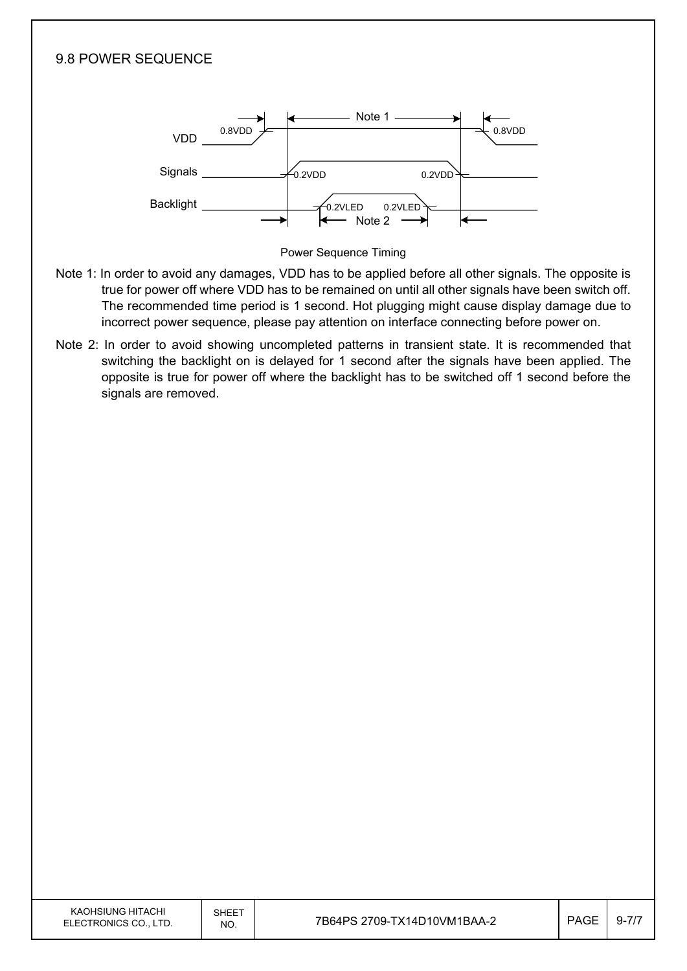

- true for power off where VDD has to be remained on until all other signals have been switch off. The recommended time period is 1 second. Hot plugging might cause display damage due to incorrect power sequence, please pay attention on interface connecting before power on.
- Note 2: In order to avoid showing uncompleted patterns in transient state. It is recommended that switching the backlight on is delayed for 1 second after the signals have been applied. The opposite is true for power off where the backlight has to be switched off 1 second before the signals are removed.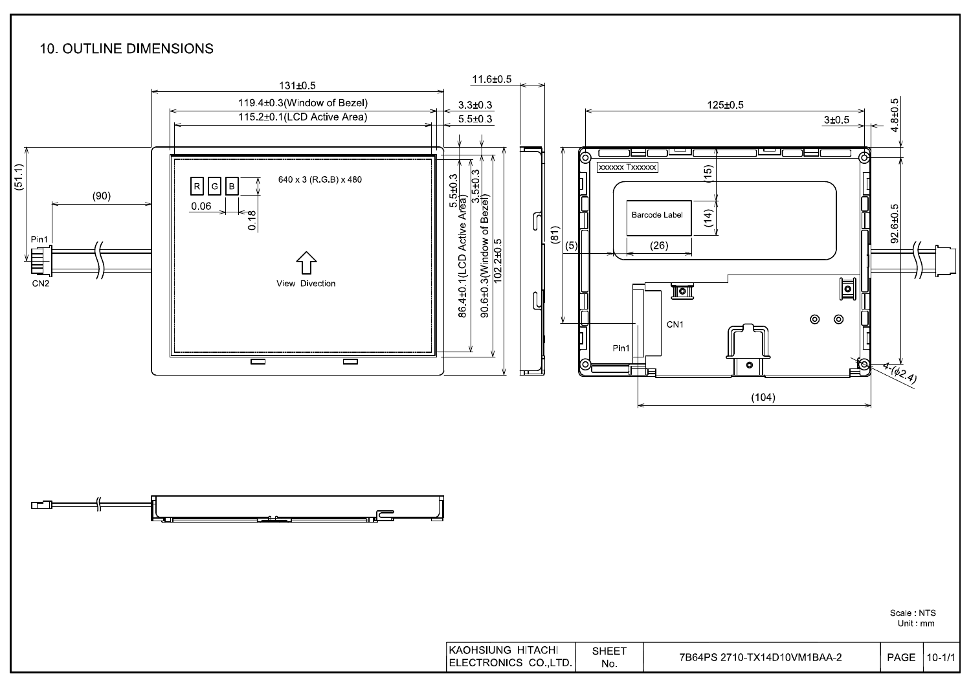#### **10. OUTLINE DIMENSIONS**

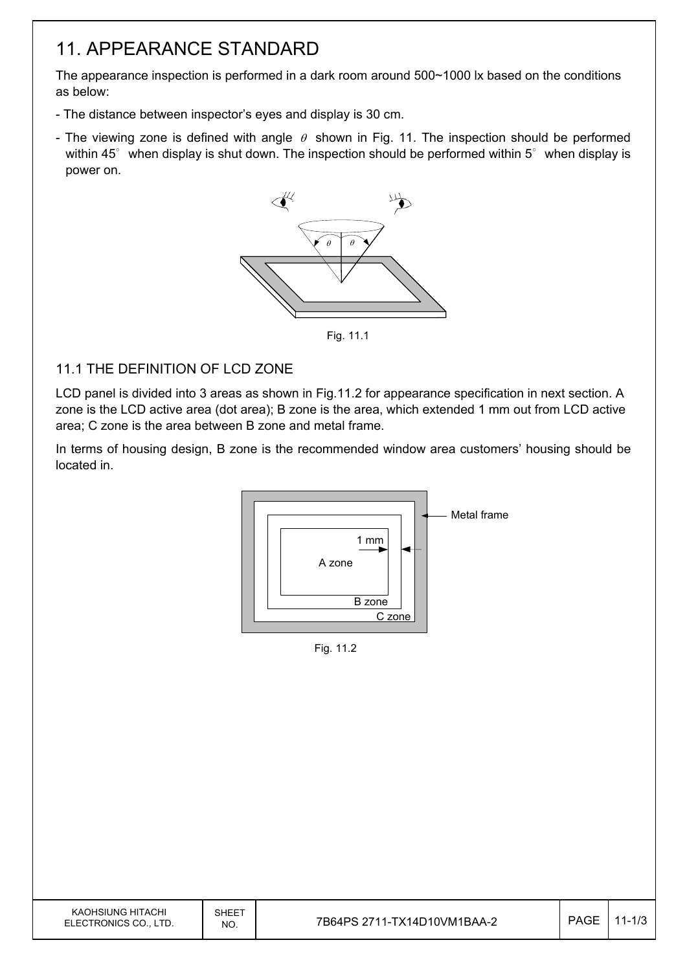### 11. APPEARANCE STANDARD

The appearance inspection is performed in a dark room around 500~1000 lx based on the conditions as below:

- The distance between inspector's eyes and display is 30 cm.
- The viewing zone is defined with angle  $\theta$  shown in Fig. 11. The inspection should be performed within 45 $\degree$  when display is shut down. The inspection should be performed within 5 $\degree$  when display is power on.



Fig. 11.1

#### 11.1 THE DEFINITION OF LCD ZONE

LCD panel is divided into 3 areas as shown in Fig.11.2 for appearance specification in next section. A zone is the LCD active area (dot area); B zone is the area, which extended 1 mm out from LCD active area; C zone is the area between B zone and metal frame.

In terms of housing design, B zone is the recommended window area customers' housing should be located in.



Fig. 11.2

| KAOHSIUNG HITACHI<br>ELECTRONICS CO., LTD. | <b>SHEET</b><br>NO. | 7B64PS 2711-TX14D10VM1BAA-2 | <b>PAGE</b> | $11 - 1/3$ |
|--------------------------------------------|---------------------|-----------------------------|-------------|------------|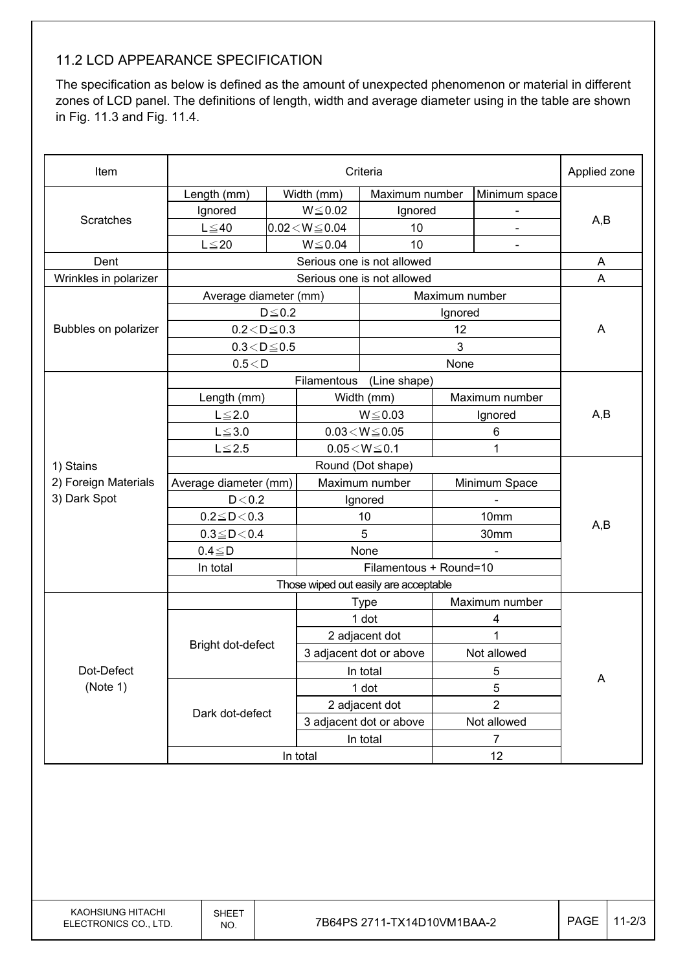#### 11.2 LCD APPEARANCE SPECIFICATION

The specification as below is defined as the amount of unexpected phenomenon or material in different zones of LCD panel. The definitions of length, width and average diameter using in the table are shown in Fig. 11.3 and Fig. 11.4.

| Item                  | Criteria              |              |                            |                                       |                |                | Applied zone |  |
|-----------------------|-----------------------|--------------|----------------------------|---------------------------------------|----------------|----------------|--------------|--|
|                       | Length (mm)           |              | Width (mm)                 | Maximum number                        |                | Minimum space  |              |  |
|                       | Ignored               |              |                            | Ignored                               |                |                |              |  |
| Scratches             | $L \leq 40$           |              | $0.02 < W \le 0.04$        | 10                                    |                |                | A,B          |  |
|                       | $L \leq 20$           |              | $W \le 0.04$               | 10                                    |                | $\blacksquare$ |              |  |
| Dent                  |                       |              | Serious one is not allowed |                                       | A              |                |              |  |
| Wrinkles in polarizer |                       |              |                            | Serious one is not allowed            |                |                | A            |  |
|                       | Average diameter (mm) |              |                            |                                       | Maximum number |                |              |  |
|                       |                       | $D \leq 0.2$ |                            |                                       | Ignored        |                |              |  |
| Bubbles on polarizer  | $0.2 < D \le 0.3$     |              |                            |                                       | 12             |                | A            |  |
|                       | $0.3 < D \le 0.5$     |              |                            |                                       | 3              |                |              |  |
|                       | 0.5 < D               |              |                            |                                       | None           |                |              |  |
|                       |                       |              | Filamentous                | (Line shape)                          |                |                |              |  |
|                       | Length (mm)           |              |                            | Width (mm)                            |                | Maximum number |              |  |
|                       | $L \leq 2.0$          |              | $W \le 0.03$               |                                       | Ignored        |                | A,B          |  |
|                       | $L \le 3.0$           |              | $0.03\!<\!W\!\leq\!0.05$   |                                       | 6              |                |              |  |
|                       | $L \le 2.5$           |              |                            | $0.05\!<\!W\!\leq\!0.1$               |                | 1              |              |  |
| 1) Stains             |                       |              | Round (Dot shape)          |                                       |                |                |              |  |
| 2) Foreign Materials  | Average diameter (mm) |              | Maximum number             |                                       |                | Minimum Space  |              |  |
| 3) Dark Spot          | D < 0.2               |              | Ignored                    |                                       |                |                |              |  |
|                       | $0.2 \leq D < 0.3$    |              | 10                         |                                       | 10mm           |                | A,B          |  |
|                       | $0.3 \leq D \leq 0.4$ |              |                            | 5                                     |                | 30mm           |              |  |
|                       | $0.4 \leq D$          |              | None                       |                                       |                |                |              |  |
|                       | In total              |              |                            | Filamentous + Round=10                |                |                |              |  |
|                       |                       |              |                            | Those wiped out easily are acceptable |                |                |              |  |
|                       |                       |              |                            | <b>Type</b>                           |                | Maximum number |              |  |
|                       |                       |              |                            | 1 dot                                 |                | 4              |              |  |
|                       | Bright dot-defect     |              |                            | 2 adjacent dot                        | 1              |                |              |  |
|                       |                       |              | 3 adjacent dot or above    |                                       | Not allowed    |                |              |  |
| Dot-Defect            |                       |              |                            | In total                              |                | 5              | A            |  |
| (Note 1)              |                       |              |                            | 1 dot                                 | 5              |                |              |  |
|                       | Dark dot-defect       |              | 2 adjacent dot             |                                       | $\overline{2}$ |                |              |  |
|                       |                       |              |                            | 3 adjacent dot or above               | Not allowed    |                |              |  |
|                       |                       |              |                            | In total                              |                | $\overline{7}$ |              |  |
|                       |                       |              | In total                   |                                       |                | 12             |              |  |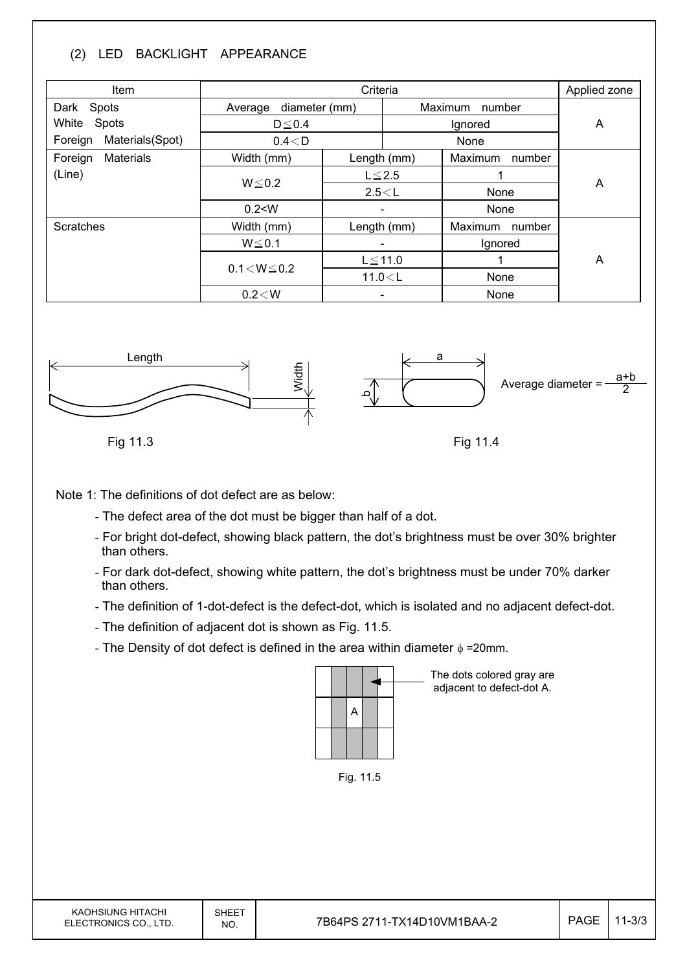#### (2) LED BACKLIGHT APPEARANCE

| Item                           |                          | Applied zone |      |                   |   |
|--------------------------------|--------------------------|--------------|------|-------------------|---|
| Dark Spots                     | diameter (mm)<br>Average |              |      | Maximum<br>number |   |
| White<br>Spots                 | $D \le 0.4$              |              |      | A                 |   |
| Materials(Spot)<br>Foreign     | 0.4 < D                  |              | None |                   |   |
| <b>Materials</b><br>Foreign    | Width (mm)               | Length (mm)  |      | Maximum<br>number |   |
| (Line)                         | $W \le 0.2$              | $L \leq 2.5$ |      |                   |   |
|                                |                          | 2.5 < L      |      | None              | A |
|                                | 0.2 < W                  |              | Ξ.   | None              |   |
| <b>Scratches</b><br>Width (mm) |                          | Length (mm)  |      | Maximum<br>number |   |
|                                | $W \le 0.1$              |              |      | Ignored           |   |
|                                | $0.1 < W \le 0.2$        | $L \le 11.0$ |      |                   | A |
|                                |                          | 11.0 < L     |      | None              |   |
|                                | $0.2\!<\!W$              |              |      | None              |   |



Fig 11.3

Fig 11.4

Note 1: The definitions of dot defect are as below:

- The defect area of the dot must be bigger than half of a dot.
- For bright dot-defect, showing black pattern, the dot's brightness must be over 30% brighter than others.
- For dark dot-defect, showing white pattern, the dot's brightness must be under 70% darker than others.
- The definition of 1-dot-defect is the defect-dot, which is isolated and no adjacent defect-dot.
- The definition of adjacent dot is shown as Fig. 11.5.
- The Density of dot defect is defined in the area within diameter  $\phi$  =20mm.



The dots colored gray are adjacent to defect-dot A.

Fig. 11.5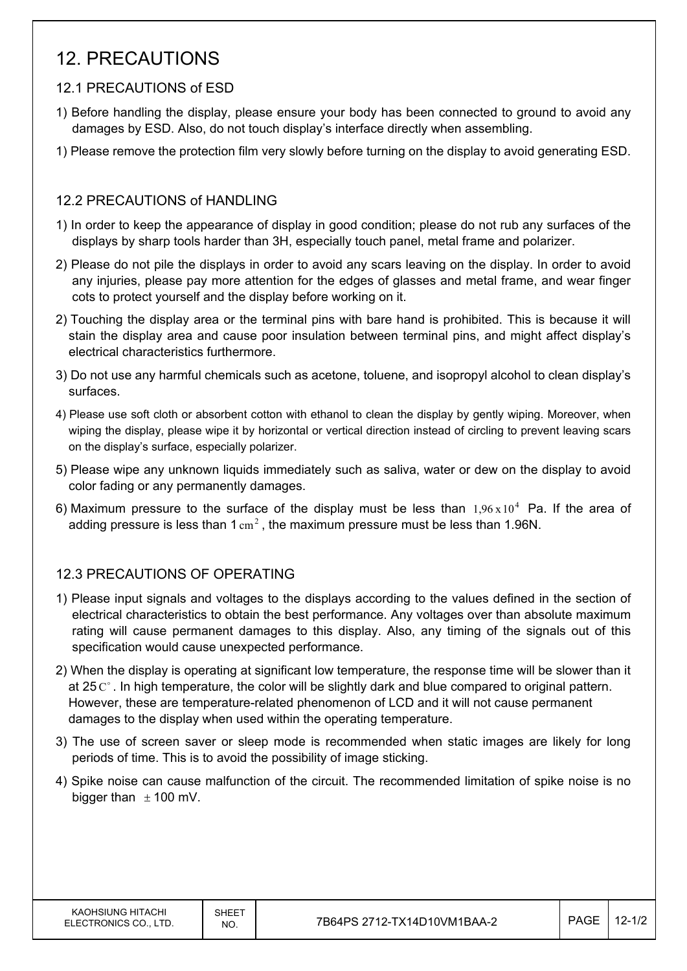### 12. PRECAUTIONS

#### 12.1 PRECAUTIONS of ESD

- 1) Before handling the display, please ensure your body has been connected to ground to avoid any damages by ESD. Also, do not touch display's interface directly when assembling.
- 1) Please remove the protection film very slowly before turning on the display to avoid generating ESD.

#### 12.2 PRECAUTIONS of HANDLING

- 1) In order to keep the appearance of display in good condition; please do not rub any surfaces of the displays by sharp tools harder than 3H, especially touch panel, metal frame and polarizer.
- 2) Please do not pile the displays in order to avoid any scars leaving on the display. In order to avoid any injuries, please pay more attention for the edges of glasses and metal frame, and wear finger cots to protect yourself and the display before working on it.
- 2) Touching the display area or the terminal pins with bare hand is prohibited. This is because it will stain the display area and cause poor insulation between terminal pins, and might affect display's electrical characteristics furthermore.
- 3) Do not use any harmful chemicals such as acetone, toluene, and isopropyl alcohol to clean display's surfaces.
- 4) Please use soft cloth or absorbent cotton with ethanol to clean the display by gently wiping. Moreover, when wiping the display, please wipe it by horizontal or vertical direction instead of circling to prevent leaving scars on the display's surface, especially polarizer.
- 5) Please wipe any unknown liquids immediately such as saliva, water or dew on the display to avoid color fading or any permanently damages.
- 6) Maximum pressure to the surface of the display must be less than  $1.96 \times 10^4$  Pa. If the area of adding pressure is less than  $1 \text{ cm}^2$ , the maximum pressure must be less than 1.96N.

#### 12.3 PRECAUTIONS OF OPERATING

- 1) Please input signals and voltages to the displays according to the values defined in the section of electrical characteristics to obtain the best performance. Any voltages over than absolute maximum rating will cause permanent damages to this display. Also, any timing of the signals out of this specification would cause unexpected performance.
- 2) When the display is operating at significant low temperature, the response time will be slower than it at 25 $C^{\circ}$ . In high temperature, the color will be slightly dark and blue compared to original pattern. However, these are temperature-related phenomenon of LCD and it will not cause permanent damages to the display when used within the operating temperature.
- 3) The use of screen saver or sleep mode is recommended when static images are likely for long periods of time. This is to avoid the possibility of image sticking.
- 4) Spike noise can cause malfunction of the circuit. The recommended limitation of spike noise is no bigger than  $\pm$  100 mV.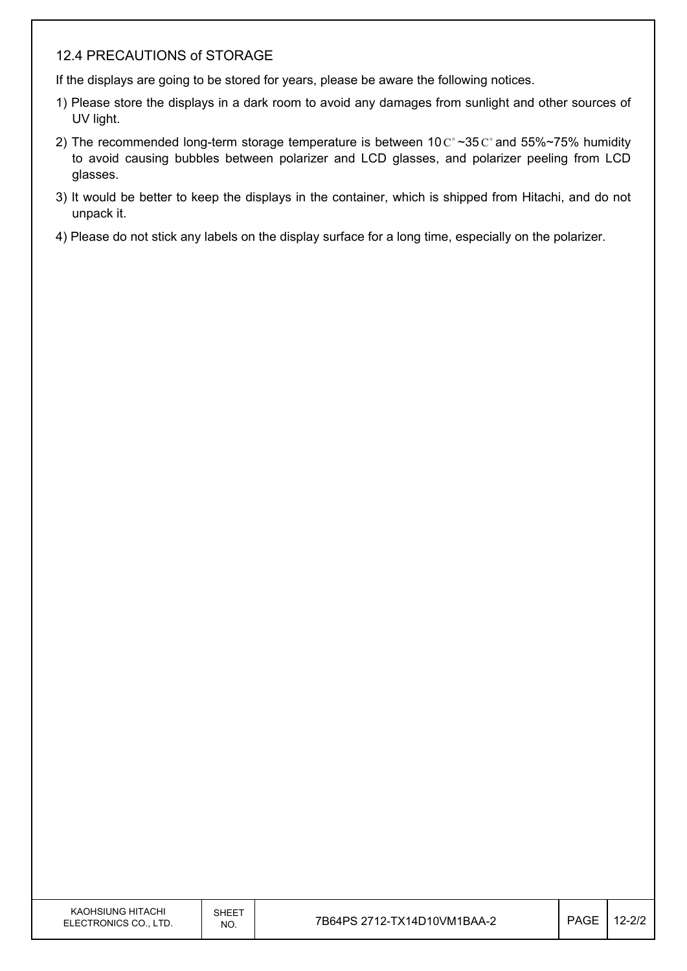#### 12.4 PRECAUTIONS of STORAGE

If the displays are going to be stored for years, please be aware the following notices.

- 1) Please store the displays in a dark room to avoid any damages from sunlight and other sources of UV light.
- 2) The recommended long-term storage temperature is between  $10 \degree \degree 35 \degree \degree$  and 55%~75% humidity to avoid causing bubbles between polarizer and LCD glasses, and polarizer peeling from LCD glasses.
- 3) It would be better to keep the displays in the container, which is shipped from Hitachi, and do not unpack it.
- 4) Please do not stick any labels on the display surface for a long time, especially on the polarizer.